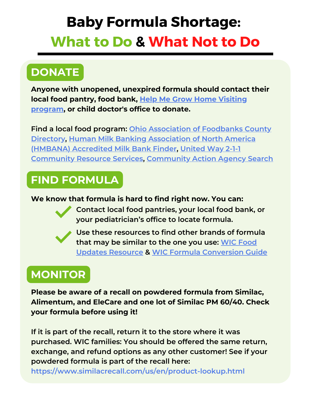# **Baby Formula Shortage: What to Do & What Not to Do**

## **DONATE**

**Anyone with unopened, unexpired formula should contact their local food pantry, food bank, Help Me Grow Home Visiting [program,](https://www.helpmegrow.org/HomeVisiting.aspx) or child doctor's office to donate.**

**Find a local food program: Ohio [Association](https://ohiofoodbanks.org/foodbanks) of Foodbanks County Directory, Human Milk Banking [Association](https://www.hmbana.org/find-a-milk-bank/) of North America (HMBANA) Accredited Milk Bank Finder, United Way 2-1-1 [Community](https://www.211.org/about-us/your-local-211) Resource Services, [Community](https://communityactionpartnership.com/find-a-cap/) Action Agency Search**

### **FIND FORMULA**

#### **We know that formula is hard to find right now. You can:**



**Contact local food pantries, your local food bank, or your pediatrician's office to locate formula.**



**Use these resources to find other brands of formula that may be similar to the one you use: WIC Food Updates Resource & WIC Formula [Conversion](https://texaswic.org/about-wic/special-wic-food-updates) Guide**

## **MONITOR**

**Please be aware of a recall on powdered formula from Similac, Alimentum, and EleCare and one lot of Similac PM 60/40. Check your formula before using it!**

**If it is part of the recall, return it to the store where it was purchased. WIC families: You should be offered the same return, exchange, and refund options as any other customer! See if your powdered formula is part of the recall here:**

**<https://www.similacrecall.com/us/en/product-lookup.html>**